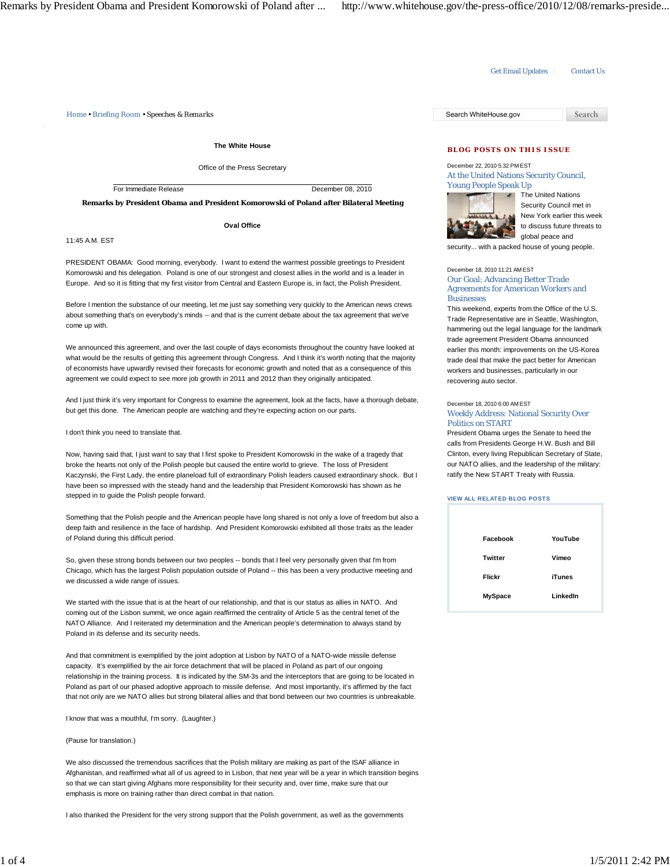Get Email Updates Contact Us *Home • Briefing Room • Speeches & Remarks* Search WhiteHouse.gov Search **The White House BLOG POSTS ON THIS ISSUE** Office of the Press Secretary December 22, 2010 5:32 PM EST At the United Nations Security Council, Young People Speak Up For Immediate Release December 08, 2010 The United Nations **Remarks by President Obama and President Komorowski of Poland after Bilateral Meeting** Security Council met in New York earlier this week **Oval Office** to discuss future threats to

11:45 A.M. EST

PRESIDENT OBAMA: Good morning, everybody. I want to extend the warmest possible greetings to President Komorowski and his delegation. Poland is one of our strongest and closest allies in the world and is a leader in Europe. And so it is fitting that my first visitor from Central and Eastern Europe is, in fact, the Polish President.

Before I mention the substance of our meeting, let me just say something very quickly to the American news crews about something that's on everybody's minds -- and that is the current debate about the tax agreement that we've come up with.

We announced this agreement, and over the last couple of days economists throughout the country have looked at what would be the results of getting this agreement through Congress. And I think it's worth noting that the majority of economists have upwardly revised their forecasts for economic growth and noted that as a consequence of this agreement we could expect to see more job growth in 2011 and 2012 than they originally anticipated.

And I just think it's very important for Congress to examine the agreement, look at the facts, have a thorough debate, but get this done. The American people are watching and they're expecting action on our parts.

I don't think you need to translate that.

Now, having said that, I just want to say that I first spoke to President Komorowski in the wake of a tragedy that broke the hearts not only of the Polish people but caused the entire world to grieve. The loss of President Kaczynski, the First Lady, the entire planeload full of extraordinary Polish leaders caused extraordinary shock. But I have been so impressed with the steady hand and the leadership that President Komorowski has shown as he stepped in to guide the Polish people forward.

Something that the Polish people and the American people have long shared is not only a love of freedom but also a deep faith and resilience in the face of hardship. And President Komorowski exhibited all those traits as the leader of Poland during this difficult period.

So, given these strong bonds between our two peoples -- bonds that I feel very personally given that I'm from Chicago, which has the largest Polish population outside of Poland -- this has been a very productive meeting and we discussed a wide range of issues.

We started with the issue that is at the heart of our relationship, and that is our status as allies in NATO. And coming out of the Lisbon summit, we once again reaffirmed the centrality of Article 5 as the central tenet of the NATO Alliance. And I reiterated my determination and the American people's determination to always stand by Poland in its defense and its security needs.

And that commitment is exemplified by the joint adoption at Lisbon by NATO of a NATO-wide missile defense capacity. It's exemplified by the air force detachment that will be placed in Poland as part of our ongoing relationship in the training process. It is indicated by the SM-3s and the interceptors that are going to be located in Poland as part of our phased adoptive approach to missile defense. And most importantly, it's affirmed by the fact that not only are we NATO allies but strong bilateral allies and that bond between our two countries is unbreakable.

I know that was a mouthful, I'm sorry. (Laughter.)

(Pause for translation.)

We also discussed the tremendous sacrifices that the Polish military are making as part of the ISAF alliance in Afghanistan, and reaffirmed what all of us agreed to in Lisbon, that next year will be a year in which transition begins so that we can start giving Afghans more responsibility for their security and, over time, make sure that our emphasis is more on training rather than direct combat in that nation.

I also thanked the President for the very strong support that the Polish government, as well as the governments



global peace and

security... with a packed house of young people.

## December 18, 2010 11:21 AM EST Our Goal: Advancing Better Trade Agreements for American Workers and Businesses

This weekend, experts from the Office of the U.S. Trade Representative are in Seattle, Washington, hammering out the legal language for the landmark trade agreement President Obama announced earlier this month: improvements on the US-Korea trade deal that make the pact better for American workers and businesses, particularly in our recovering auto sector.

## December 18, 2010 6:00 AM EST Weekly Address: National Security Over Politics on START

President Obama urges the Senate to heed the calls from Presidents George H.W. Bush and Bill Clinton, every living Republican Secretary of State, our NATO allies, and the leadership of the military: ratify the New START Treaty with Russia.

## **VIEW ALL RELATED BLOG POSTS**

| Facebook       | YouTube       |
|----------------|---------------|
| Twitter        | Vimeo         |
| Flickr         | <b>iTunes</b> |
| <b>MySpace</b> | LinkedIn      |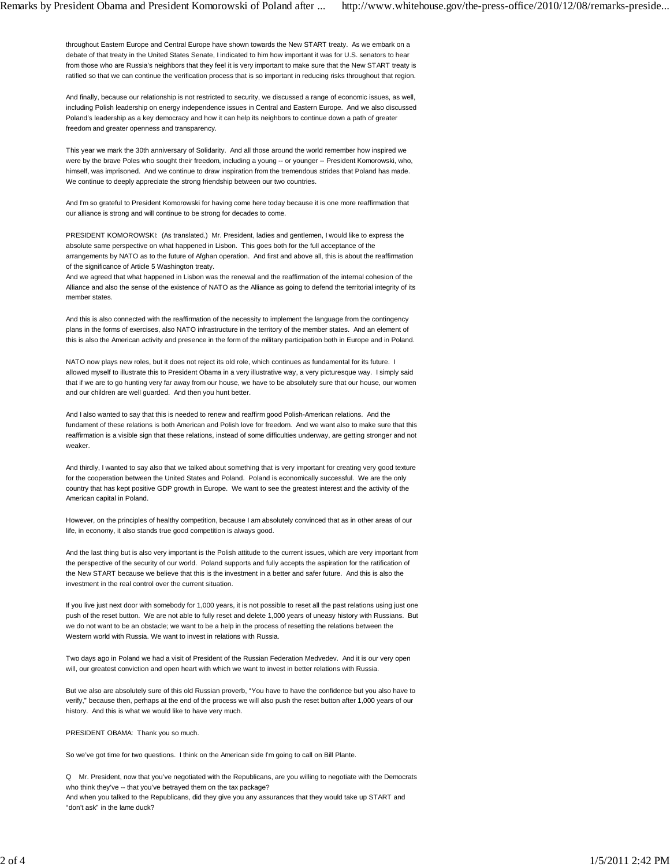throughout Eastern Europe and Central Europe have shown towards the New START treaty. As we embark on a debate of that treaty in the United States Senate, I indicated to him how important it was for U.S. senators to hear from those who are Russia's neighbors that they feel it is very important to make sure that the New START treaty is ratified so that we can continue the verification process that is so important in reducing risks throughout that region.

And finally, because our relationship is not restricted to security, we discussed a range of economic issues, as well, including Polish leadership on energy independence issues in Central and Eastern Europe. And we also discussed Poland's leadership as a key democracy and how it can help its neighbors to continue down a path of greater freedom and greater openness and transparency.

This year we mark the 30th anniversary of Solidarity. And all those around the world remember how inspired we were by the brave Poles who sought their freedom, including a young -- or younger -- President Komorowski, who, himself, was imprisoned. And we continue to draw inspiration from the tremendous strides that Poland has made. We continue to deeply appreciate the strong friendship between our two countries.

And I'm so grateful to President Komorowski for having come here today because it is one more reaffirmation that our alliance is strong and will continue to be strong for decades to come.

PRESIDENT KOMOROWSKI: (As translated.) Mr. President, ladies and gentlemen, I would like to express the absolute same perspective on what happened in Lisbon. This goes both for the full acceptance of the arrangements by NATO as to the future of Afghan operation. And first and above all, this is about the reaffirmation of the significance of Article 5 Washington treaty.

And we agreed that what happened in Lisbon was the renewal and the reaffirmation of the internal cohesion of the Alliance and also the sense of the existence of NATO as the Alliance as going to defend the territorial integrity of its member states.

And this is also connected with the reaffirmation of the necessity to implement the language from the contingency plans in the forms of exercises, also NATO infrastructure in the territory of the member states. And an element of this is also the American activity and presence in the form of the military participation both in Europe and in Poland.

NATO now plays new roles, but it does not reject its old role, which continues as fundamental for its future. I allowed myself to illustrate this to President Obama in a very illustrative way, a very picturesque way. I simply said that if we are to go hunting very far away from our house, we have to be absolutely sure that our house, our women and our children are well guarded. And then you hunt better.

And I also wanted to say that this is needed to renew and reaffirm good Polish-American relations. And the fundament of these relations is both American and Polish love for freedom. And we want also to make sure that this reaffirmation is a visible sign that these relations, instead of some difficulties underway, are getting stronger and not weaker.

And thirdly, I wanted to say also that we talked about something that is very important for creating very good texture for the cooperation between the United States and Poland. Poland is economically successful. We are the only country that has kept positive GDP growth in Europe. We want to see the greatest interest and the activity of the American capital in Poland.

However, on the principles of healthy competition, because I am absolutely convinced that as in other areas of our life, in economy, it also stands true good competition is always good.

And the last thing but is also very important is the Polish attitude to the current issues, which are very important from the perspective of the security of our world. Poland supports and fully accepts the aspiration for the ratification of the New START because we believe that this is the investment in a better and safer future. And this is also the investment in the real control over the current situation.

If you live just next door with somebody for 1,000 years, it is not possible to reset all the past relations using just one push of the reset button. We are not able to fully reset and delete 1,000 years of uneasy history with Russians. But we do not want to be an obstacle; we want to be a help in the process of resetting the relations between the Western world with Russia. We want to invest in relations with Russia.

Two days ago in Poland we had a visit of President of the Russian Federation Medvedev. And it is our very open will, our greatest conviction and open heart with which we want to invest in better relations with Russia.

But we also are absolutely sure of this old Russian proverb, "You have to have the confidence but you also have to verify," because then, perhaps at the end of the process we will also push the reset button after 1,000 years of our history. And this is what we would like to have very much.

PRESIDENT OBAMA: Thank you so much.

So we've got time for two questions. I think on the American side I'm going to call on Bill Plante.

Q Mr. President, now that you've negotiated with the Republicans, are you willing to negotiate with the Democrats who think they've -- that you've betrayed them on the tax package? And when you talked to the Republicans, did they give you any assurances that they would take up START and "don't ask" in the lame duck?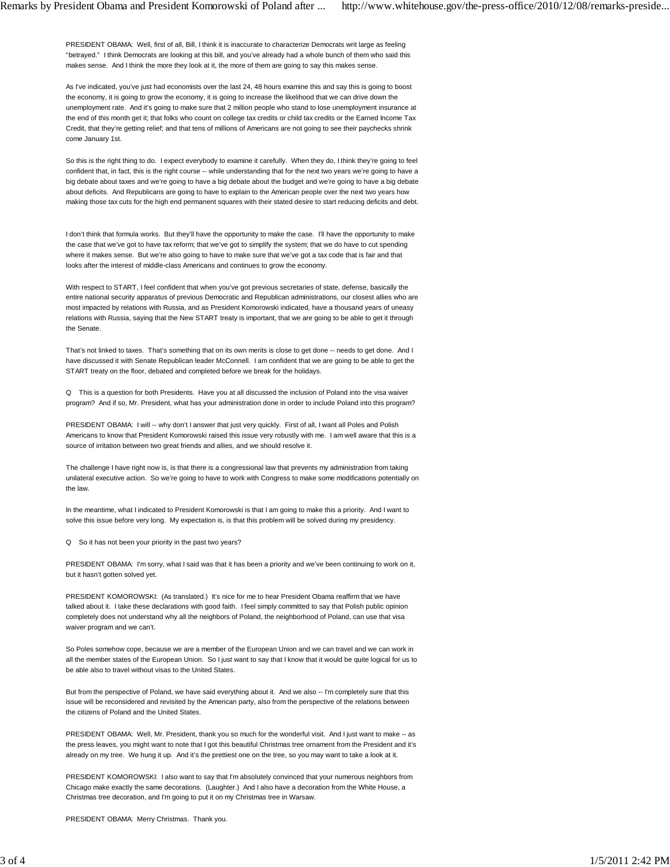PRESIDENT OBAMA: Well, first of all, Bill, I think it is inaccurate to characterize Democrats writ large as feeling "betrayed." I think Democrats are looking at this bill, and you've already had a whole bunch of them who said this makes sense. And I think the more they look at it, the more of them are going to say this makes sense.

As I've indicated, you've just had economists over the last 24, 48 hours examine this and say this is going to boost the economy, it is going to grow the economy, it is going to increase the likelihood that we can drive down the unemployment rate. And it's going to make sure that 2 million people who stand to lose unemployment insurance at the end of this month get it; that folks who count on college tax credits or child tax credits or the Earned Income Tax Credit, that they're getting relief; and that tens of millions of Americans are not going to see their paychecks shrink come January 1st.

So this is the right thing to do. I expect everybody to examine it carefully. When they do, I think they're going to feel confident that, in fact, this is the right course -- while understanding that for the next two years we're going to have a big debate about taxes and we're going to have a big debate about the budget and we're going to have a big debate about deficits. And Republicans are going to have to explain to the American people over the next two years how making those tax cuts for the high end permanent squares with their stated desire to start reducing deficits and debt.

I don't think that formula works. But they'll have the opportunity to make the case. I'll have the opportunity to make the case that we've got to have tax reform; that we've got to simplify the system; that we do have to cut spending where it makes sense. But we're also going to have to make sure that we've got a tax code that is fair and that looks after the interest of middle-class Americans and continues to grow the economy.

With respect to START, I feel confident that when you've got previous secretaries of state, defense, basically the entire national security apparatus of previous Democratic and Republican administrations, our closest allies who are most impacted by relations with Russia, and as President Komorowski indicated, have a thousand years of uneasy relations with Russia, saying that the New START treaty is important, that we are going to be able to get it through the Senate.

That's not linked to taxes. That's something that on its own merits is close to get done -- needs to get done. And I have discussed it with Senate Republican leader McConnell. I am confident that we are going to be able to get the START treaty on the floor, debated and completed before we break for the holidays.

Q This is a question for both Presidents. Have you at all discussed the inclusion of Poland into the visa waiver program? And if so, Mr. President, what has your administration done in order to include Poland into this program?

PRESIDENT OBAMA: I will -- why don't I answer that just very quickly. First of all, I want all Poles and Polish Americans to know that President Komorowski raised this issue very robustly with me. I am well aware that this is a source of irritation between two great friends and allies, and we should resolve it.

The challenge I have right now is, is that there is a congressional law that prevents my administration from taking unilateral executive action. So we're going to have to work with Congress to make some modifications potentially on the law.

In the meantime, what I indicated to President Komorowski is that I am going to make this a priority. And I want to solve this issue before very long. My expectation is, is that this problem will be solved during my presidency.

Q So it has not been your priority in the past two years?

PRESIDENT OBAMA: I'm sorry, what I said was that it has been a priority and we've been continuing to work on it, but it hasn't gotten solved yet.

PRESIDENT KOMOROWSKI: (As translated.) It's nice for me to hear President Obama reaffirm that we have talked about it. I take these declarations with good faith. I feel simply committed to say that Polish public opinion completely does not understand why all the neighbors of Poland, the neighborhood of Poland, can use that visa waiver program and we can't.

So Poles somehow cope, because we are a member of the European Union and we can travel and we can work in all the member states of the European Union. So I just want to say that I know that it would be quite logical for us to be able also to travel without visas to the United States.

But from the perspective of Poland, we have said everything about it. And we also -- I'm completely sure that this issue will be reconsidered and revisited by the American party, also from the perspective of the relations between the citizens of Poland and the United States.

PRESIDENT OBAMA: Well, Mr. President, thank you so much for the wonderful visit. And I just want to make -- as the press leaves, you might want to note that I got this beautiful Christmas tree ornament from the President and it's already on my tree. We hung it up. And it's the prettiest one on the tree, so you may want to take a look at it.

PRESIDENT KOMOROWSKI: I also want to say that I'm absolutely convinced that your numerous neighbors from Chicago make exactly the same decorations. (Laughter.) And I also have a decoration from the White House, a Christmas tree decoration, and I'm going to put it on my Christmas tree in Warsaw.

PRESIDENT OBAMA: Merry Christmas. Thank you.